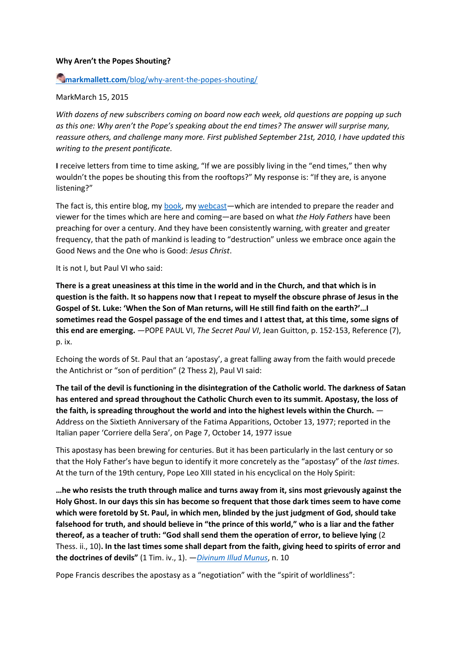### **Why Aren't the Popes Shouting?**

## **Markmallett.com**[/blog/why-arent-the-popes-shouting/](https://www.markmallett.com/blog/why-arent-the-popes-shouting/)

### MarkMarch 15, 2015

*With dozens of new subscribers coming on board now each week, old questions are popping up such as this one: Why aren't the Pope's speaking about the end times? The answer will surprise many, reassure others, and challenge many more. First published September 21st, 2010, I have updated this writing to the present pontificate.*

**I** receive letters from time to time asking, "If we are possibly living in the "end times," then why wouldn't the popes be shouting this from the rooftops?" My response is: "If they are, is anyone listening?"

The fact is, this entire blog, my [book,](https://www.markmallett.com/TheFinalConfrontation.html) my [webcast](https://www.markmallett.com/embracinghopetv/)—which are intended to prepare the reader and viewer for the times which are here and coming—are based on what *the Holy Fathers* have been preaching for over a century. And they have been consistently warning, with greater and greater frequency, that the path of mankind is leading to "destruction" unless we embrace once again the Good News and the One who is Good: *Jesus Christ*.

It is not I, but Paul VI who said:

**There is a great uneasiness at this time in the world and in the Church, and that which is in question is the faith. It so happens now that I repeat to myself the obscure phrase of Jesus in the Gospel of St. Luke: 'When the Son of Man returns, will He still find faith on the earth?'…I sometimes read the Gospel passage of the end times and I attest that, at this time, some signs of this end are emerging.** —POPE PAUL VI, *The Secret Paul VI*, Jean Guitton, p. 152-153, Reference (7), p. ix.

Echoing the words of St. Paul that an 'apostasy', a great falling away from the faith would precede the Antichrist or "son of perdition" (2 Thess 2), Paul VI said:

**The tail of the devil is functioning in the disintegration of the Catholic world. The darkness of Satan has entered and spread throughout the Catholic Church even to its summit. Apostasy, the loss of the faith, is spreading throughout the world and into the highest levels within the Church.** — Address on the Sixtieth Anniversary of the Fatima Apparitions, October 13, 1977; reported in the Italian paper 'Corriere della Sera', on Page 7, October 14, 1977 issue

This apostasy has been brewing for centuries. But it has been particularly in the last century or so that the Holy Father's have begun to identify it more concretely as the "apostasy" of the *last times*. At the turn of the 19th century, Pope Leo XIII stated in his encyclical on the Holy Spirit:

**…he who resists the truth through malice and turns away from it, sins most grievously against the Holy Ghost. In our days this sin has become so frequent that those dark times seem to have come which were foretold by St. Paul, in which men, blinded by the just judgment of God, should take falsehood for truth, and should believe in "the prince of this world," who is a liar and the father thereof, as a teacher of truth: "God shall send them the operation of error, to believe lying** (2 Thess. ii., 10)**. In the last times some shall depart from the faith, giving heed to spirits of error and the doctrines of devils"** (1 Tim. iv., 1). —*[Divinum Illud Munus](http://www.vatican.va/holy_father/leo_xiii/encyclicals/documents/hf_l-xiii_enc_09051897_divinum-illud-munus_en.html)*, n. 10

Pope Francis describes the apostasy as a "negotiation" with the "spirit of worldliness":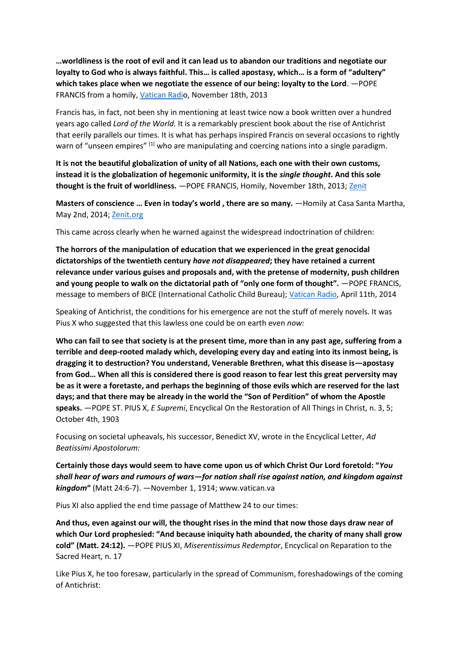**…worldliness is the root of evil and it can lead us to abandon our traditions and negotiate our loyalty to God who is always faithful. This… is called apostasy, which… is a form of "adultery" which takes place when we negotiate the essence of our being: loyalty to the Lord**. —POPE FRANCIS from a homily, [Vatican Radio](http://en.radiovaticana.va/news/2013/11/18/pope%3A_lord_save_us_from_the_subtle_conspiracies_of_worldliness/en1-747663), November 18th, 2013

Francis has, in fact, not been shy in mentioning at least twice now a book written over a hundred years ago called *Lord of the World.* It is a remarkably prescient book about the rise of Antichrist that eerily parallels our times. It is what has perhaps inspired Francis on several occasions to rightly warn of "unseen empires"  $^{[1]}$  who are manipulating and coercing nations into a single paradigm.

**It is not the beautiful globalization of unity of all Nations, each one with their own customs, instead it is the globalization of hegemonic uniformity, it is the** *single thought***. And this sole thought is the fruit of worldliness.** —POPE FRANCIS, Homily, November 18th, 2013; [Zenit](http://www.zenit.org/en/articles/pope-francis-globalized-uniformity-is-the-fruit-of-worldliness?utm_campaign=dailyhtml&utm_medium=email&utm_source=dispatch)

**Masters of conscience … Even in today's world , there are so many.** —Homily at Casa Santa Martha, May 2nd, 2014; [Zenit.org](http://www.zenit.org/en/articles/pope-francis-i-wept-on-hearing-news-of-crucifixion-of-christians?utm_campaign=weeklyhtml&utm_medium=email&utm_source=dispatch)

This came across clearly when he warned against the widespread indoctrination of children:

**The horrors of the manipulation of education that we experienced in the great genocidal dictatorships of the twentieth century** *have not disappeared***; they have retained a current relevance under various guises and proposals and, with the pretense of modernity, push children and young people to walk on the dictatorial path of "only one form of thought".** —POPE FRANCIS, message to members of BICE (International Catholic Child Bureau); [Vatican Radio,](http://www.news.va/en/news/pope-francis-on-clerical-sexual-abuse-not-one-step) April 11th, 2014

Speaking of Antichrist, the conditions for his emergence are not the stuff of merely novels. It was Pius X who suggested that this lawless one could be on earth even *now:*

**Who can fail to see that society is at the present time, more than in any past age, suffering from a terrible and deep-rooted malady which, developing every day and eating into its inmost being, is dragging it to destruction? You understand, Venerable Brethren, what this disease is—apostasy from God… When all this is considered there is good reason to fear lest this great perversity may be as it were a foretaste, and perhaps the beginning of those evils which are reserved for the last days; and that there may be already in the world the "Son of Perdition" of whom the Apostle speaks.** —POPE ST. PIUS X, *E Supremi*, Encyclical On the Restoration of All Things in Christ, n. 3, 5; October 4th, 1903

Focusing on societal upheavals, his successor, Benedict XV, wrote in the Encyclical Letter, *Ad Beatissimi Apostolorum:*

**Certainly those days would seem to have come upon us of which Christ Our Lord foretold: "***You shall hear of wars and rumours of wars—for nation shall rise against nation, and kingdom against kingdom***"** (Matt 24:6-7). —November 1, 1914; www.vatican.va

Pius XI also applied the end time passage of Matthew 24 to our times:

**And thus, even against our will, the thought rises in the mind that now those days draw near of which Our Lord prophesied: "And because iniquity hath abounded, the charity of many shall grow cold" (Matt. 24:12).** —POPE PIUS XI, *Miserentissimus Redemptor*, Encyclical on Reparation to the Sacred Heart, n. 17

Like Pius X, he too foresaw, particularly in the spread of Communism, foreshadowings of the coming of Antichrist: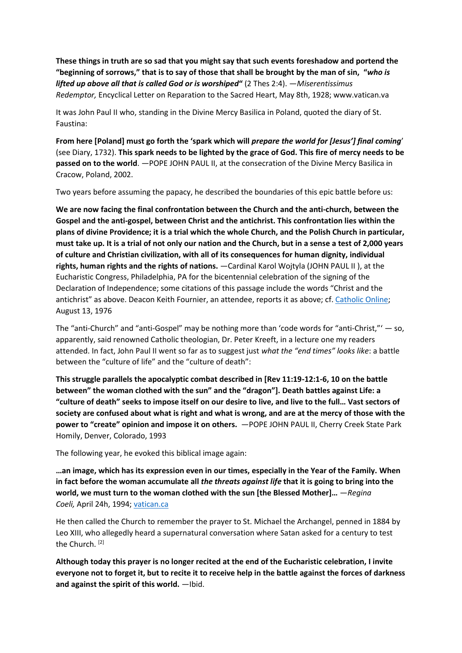**These things in truth are so sad that you might say that such events foreshadow and portend the "beginning of sorrows," that is to say of those that shall be brought by the man of sin, "***who is lifted up above all that is called God or is worshiped***"** (2 Thes 2:4). —*Miserentissimus Redemptor,* Encyclical Letter on Reparation to the Sacred Heart, May 8th, 1928; www.vatican.va

It was John Paul II who, standing in the Divine Mercy Basilica in Poland, quoted the diary of St. Faustina:

**From here [Poland] must go forth the 'spark which will** *prepare the world for [Jesus'] final coming*' (see Diary, 1732). **This spark needs to be lighted by the grace of God. This fire of mercy needs to be passed on to the world**. —POPE JOHN PAUL II, at the consecration of the Divine Mercy Basilica in Cracow, Poland, 2002.

Two years before assuming the papacy, he described the boundaries of this epic battle before us:

**We are now facing the final confrontation between the Church and the anti-church, between the Gospel and the anti-gospel, between Christ and the antichrist. This confrontation lies within the plans of divine Providence; it is a trial which the whole Church, and the Polish Church in particular, must take up. It is a trial of not only our nation and the Church, but in a sense a test of 2,000 years of culture and Christian civilization, with all of its consequences for human dignity, individual rights, human rights and the rights of nations.** —Cardinal Karol Wojtyla (JOHN PAUL II ), at the Eucharistic Congress, Philadelphia, PA for the bicentennial celebration of the signing of the Declaration of Independence; some citations of this passage include the words "Christ and the antichrist" as above. Deacon Keith Fournier, an attendee, reports it as above; cf. [Catholic Online;](http://www.catholic.org/news/national/story.php?id=57376) August 13, 1976

The "anti-Church" and "anti-Gospel" may be nothing more than 'code words for "anti-Christ,"' — so, apparently, said renowned Catholic theologian, Dr. Peter Kreeft, in a lecture one my readers attended. In fact, John Paul II went so far as to suggest just *what the "end times" looks like*: a battle between the "culture of life" and the "culture of death":

**This struggle parallels the apocalyptic combat described in [Rev 11:19-12:1-6, 10 on the battle between" the woman clothed with the sun" and the "dragon"]. Death battles against Life: a "culture of death" seeks to impose itself on our desire to live, and live to the full… Vast sectors of society are confused about what is right and what is wrong, and are at the mercy of those with the power to "create" opinion and impose it on others.** —POPE JOHN PAUL II, Cherry Creek State Park Homily, Denver, Colorado, 1993

The following year, he evoked this biblical image again:

**…an image, which has its expression even in our times, especially in the Year of the Family. When in fact before the woman accumulate all** *the threats against life* **that it is going to bring into the world, we must turn to the woman clothed with the sun [the Blessed Mother]…** —*Regina Coeli,* April 24h, 1994; [vatican.ca](https://w2.vatican.va/content/john-paul-ii/it/angelus/1994/documents/hf_jp-ii_reg_19940424.html)

He then called the Church to remember the prayer to St. Michael the Archangel, penned in 1884 by Leo XIII, who allegedly heard a supernatural conversation where Satan asked for a century to test the Church. [2]

**Although today this prayer is no longer recited at the end of the Eucharistic celebration, I invite everyone not to forget it, but to recite it to receive help in the battle against the forces of darkness and against the spirit of this world.** —Ibid.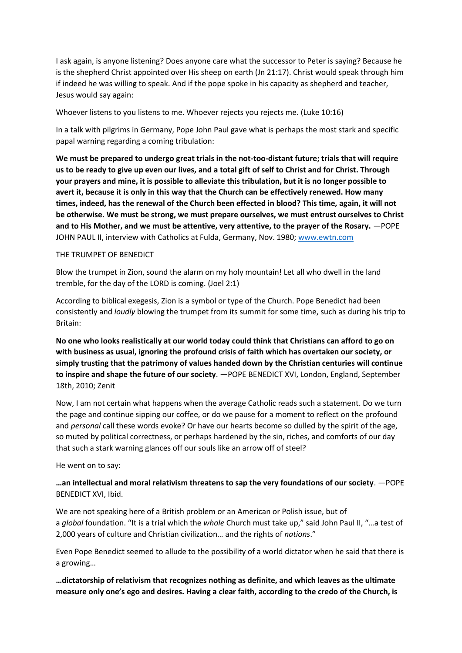I ask again, is anyone listening? Does anyone care what the successor to Peter is saying? Because he is the shepherd Christ appointed over His sheep on earth (Jn 21:17). Christ would speak through him if indeed he was willing to speak. And if the pope spoke in his capacity as shepherd and teacher, Jesus would say again:

Whoever listens to you listens to me. Whoever rejects you rejects me. (Luke 10:16)

In a talk with pilgrims in Germany, Pope John Paul gave what is perhaps the most stark and specific papal warning regarding a coming tribulation:

**We must be prepared to undergo great trials in the not-too-distant future; trials that will require us to be ready to give up even our lives, and a total gift of self to Christ and for Christ. Through your prayers and mine, it is possible to alleviate this tribulation, but it is no longer possible to avert it, because it is only in this way that the Church can be effectively renewed. How many times, indeed, has the renewal of the Church been effected in blood? This time, again, it will not be otherwise. We must be strong, we must prepare ourselves, we must entrust ourselves to Christ and to His Mother, and we must be attentive, very attentive, to the prayer of the Rosary.** —POPE JOHN PAUL II, interview with Catholics at Fulda, Germany, Nov. 1980; [www.ewtn.com](http://www.ewtn.com/library/scriptur/flfire.txt)

#### THE TRUMPET OF BENEDICT

Blow the trumpet in Zion, sound the alarm on my holy mountain! Let all who dwell in the land tremble, for the day of the LORD is coming. (Joel 2:1)

According to biblical exegesis, Zion is a symbol or type of the Church. Pope Benedict had been consistently and *loudly* blowing the trumpet from its summit for some time, such as during his trip to Britain:

**No one who looks realistically at our world today could think that Christians can afford to go on with business as usual, ignoring the profound crisis of faith which has overtaken our society, or simply trusting that the patrimony of values handed down by the Christian centuries will continue to inspire and shape the future of our society**. —POPE BENEDICT XVI, London, England, September 18th, 2010; Zenit

Now, I am not certain what happens when the average Catholic reads such a statement. Do we turn the page and continue sipping our coffee, or do we pause for a moment to reflect on the profound and *personal* call these words evoke? Or have our hearts become so dulled by the spirit of the age, so muted by political correctness, or perhaps hardened by the sin, riches, and comforts of our day that such a stark warning glances off our souls like an arrow off of steel?

He went on to say:

## **…an intellectual and moral relativism threatens to sap the very foundations of our society**. —POPE BENEDICT XVI, Ibid.

We are not speaking here of a British problem or an American or Polish issue, but of a *global* foundation. "It is a trial which the *whole* Church must take up," said John Paul II, "…a test of 2,000 years of culture and Christian civilization… and the rights of *nations*."

Even Pope Benedict seemed to allude to the possibility of a world dictator when he said that there is a growing…

**…dictatorship of relativism that recognizes nothing as definite, and which leaves as the ultimate measure only one's ego and desires. Having a clear faith, according to the credo of the Church, is**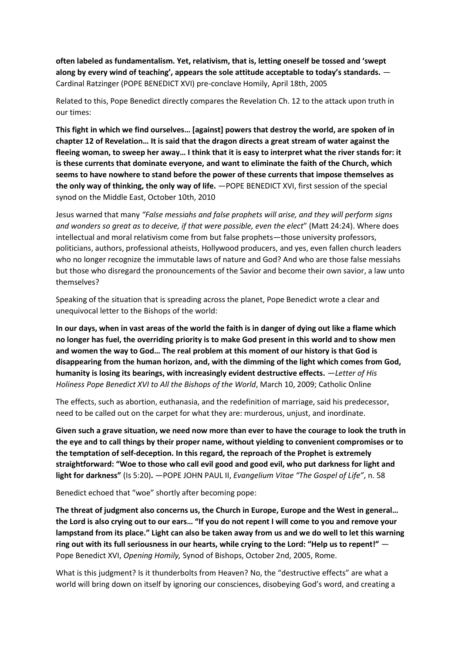**often labeled as fundamentalism. Yet, relativism, that is, letting oneself be tossed and 'swept along by every wind of teaching', appears the sole attitude acceptable to today's standards.** — Cardinal Ratzinger (POPE BENEDICT XVI) pre-conclave Homily, April 18th, 2005

Related to this, Pope Benedict directly compares the Revelation Ch. 12 to the attack upon truth in our times:

**This fight in which we find ourselves… [against] powers that destroy the world, are spoken of in chapter 12 of Revelation… It is said that the dragon directs a great stream of water against the fleeing woman, to sweep her away… I think that it is easy to interpret what the river stands for: it is these currents that dominate everyone, and want to eliminate the faith of the Church, which seems to have nowhere to stand before the power of these currents that impose themselves as the only way of thinking, the only way of life.** —POPE BENEDICT XVI, first session of the special synod on the Middle East, October 10th, 2010

Jesus warned that many *"False messiahs and false prophets will arise, and they will perform signs and wonders so great as to deceive, if that were possible, even the elect*" (Matt 24:24). Where does intellectual and moral relativism come from but false prophets—those university professors, politicians, authors, professional atheists, Hollywood producers, and yes, even fallen church leaders who no longer recognize the immutable laws of nature and God? And who are those false messiahs but those who disregard the pronouncements of the Savior and become their own savior, a law unto themselves?

Speaking of the situation that is spreading across the planet, Pope Benedict wrote a clear and unequivocal letter to the Bishops of the world:

**In our days, when in vast areas of the world the faith is in danger of dying out like a flame which no longer has fuel, the overriding priority is to make God present in this world and to show men and women the way to God… The real problem at this moment of our history is that God is disappearing from the human horizon, and, with the dimming of the light which comes from God, humanity is losing its bearings, with increasingly evident destructive effects.** —*Letter of His Holiness Pope Benedict XVI to All the Bishops of the World*, March 10, 2009; Catholic Online

The effects, such as abortion, euthanasia, and the redefinition of marriage, said his predecessor, need to be called out on the carpet for what they are: murderous, unjust, and inordinate.

**Given such a grave situation, we need now more than ever to have the courage to look the truth in the eye and to call things by their proper name, without yielding to convenient compromises or to the temptation of self-deception. In this regard, the reproach of the Prophet is extremely straightforward: "Woe to those who call evil good and good evil, who put darkness for light and light for darkness"** (Is 5:20)**.** —POPE JOHN PAUL II, *Evangelium Vitae "The Gospel of Life"*, n. 58

Benedict echoed that "woe" shortly after becoming pope:

**The threat of judgment also concerns us, the Church in Europe, Europe and the West in general… the Lord is also crying out to our ears… "If you do not repent I will come to you and remove your lampstand from its place." Light can also be taken away from us and we do well to let this warning ring out with its full seriousness in our hearts, while crying to the Lord: "Help us to repent!"** — Pope Benedict XVI, *Opening Homily,* Synod of Bishops, October 2nd, 2005, Rome.

What is this judgment? Is it thunderbolts from Heaven? No, the "destructive effects" are what a world will bring down on itself by ignoring our consciences, disobeying God's word, and creating a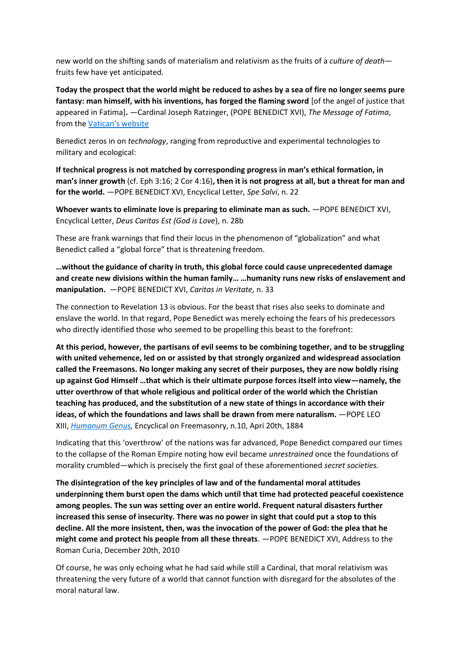new world on the shifting sands of materialism and relativism as the fruits of a *culture of death* fruits few have yet anticipated.

**Today the prospect that the world might be reduced to ashes by a sea of fire no longer seems pure fantasy: man himself, with his inventions, has forged the flaming sword** [of the angel of justice that appeared in Fatima]**.** —Cardinal Joseph Ratzinger, (POPE BENEDICT XVI), *The Message of Fatima*, from the [Vatican's website](http://www.vatican.va/roman_curia/congregations/cfaith/documents/rc_con_cfaith_doc_20000626_message-fatima_en.html)

Benedict zeros in on *technology*, ranging from reproductive and experimental technologies to military and ecological:

**If technical progress is not matched by corresponding progress in man's ethical formation, in man's inner growth** (cf. Eph 3:16; 2 Cor 4:16)**, then it is not progress at all, but a threat for man and for the world.** —POPE BENEDICT XVI, Encyclical Letter, *Spe Salvi*, n. 22

**Whoever wants to eliminate love is preparing to eliminate man as such.** —POPE BENEDICT XVI, Encyclical Letter, *Deus Caritas Est (God is Love*), n. 28b

These are frank warnings that find their locus in the phenomenon of "globalization" and what Benedict called a "global force" that is threatening freedom.

**…without the guidance of charity in truth, this global force could cause unprecedented damage and create new divisions within the human family… …humanity runs new risks of enslavement and manipulation.** —POPE BENEDICT XVI, *Caritas in Veritate,* n. 33

The connection to Revelation 13 is obvious. For the beast that rises also seeks to dominate and enslave the world. In that regard, Pope Benedict was merely echoing the fears of his predecessors who directly identified those who seemed to be propelling this beast to the forefront:

**At this period, however, the partisans of evil seems to be combining together, and to be struggling with united vehemence, led on or assisted by that strongly organized and widespread association called the Freemasons. No longer making any secret of their purposes, they are now boldly rising up against God Himself …that which is their ultimate purpose forces itself into view—namely, the utter overthrow of that whole religious and political order of the world which the Christian teaching has produced, and the substitution of a new state of things in accordance with their ideas, of which the foundations and laws shall be drawn from mere naturalism.** —POPE LEO XIII, *[Humanum Genus,](http://www.vatican.va/holy_father/leo_xiii/encyclicals/documents/hf_l-xiii_enc_18840420_humanum-genus_en.html)* Encyclical on Freemasonry, n.10, Apri 20th, 1884

Indicating that this 'overthrow' of the nations was far advanced, Pope Benedict compared our times to the collapse of the Roman Empire noting how evil became *unrestrained* once the foundations of morality crumbled—which is precisely the first goal of these aforementioned *secret societies.*

**The disintegration of the key principles of law and of the fundamental moral attitudes underpinning them burst open the dams which until that time had protected peaceful coexistence among peoples. The sun was setting over an entire world. Frequent natural disasters further increased this sense of insecurity. There was no power in sight that could put a stop to this decline. All the more insistent, then, was the invocation of the power of God: the plea that he might come and protect his people from all these threats**. —POPE BENEDICT XVI, Address to the Roman Curia, December 20th, 2010

Of course, he was only echoing what he had said while still a Cardinal, that moral relativism was threatening the very future of a world that cannot function with disregard for the absolutes of the moral natural law.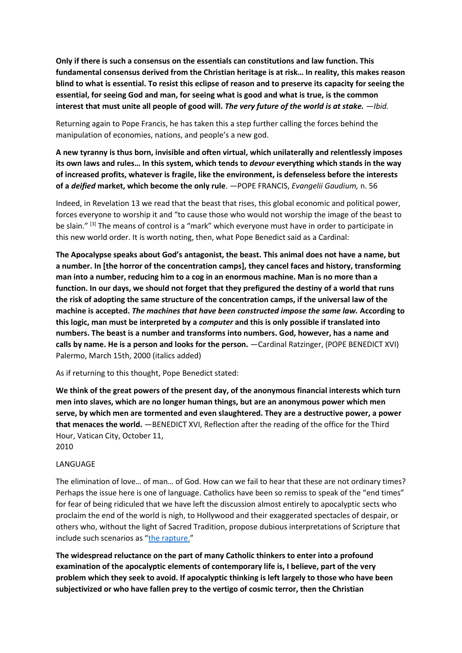**Only if there is such a consensus on the essentials can constitutions and law function. This fundamental consensus derived from the Christian heritage is at risk… In reality, this makes reason blind to what is essential. To resist this eclipse of reason and to preserve its capacity for seeing the essential, for seeing God and man, for seeing what is good and what is true, is the common interest that must unite all people of good will.** *The very future of the world is at stake. —Ibid.*

Returning again to Pope Francis, he has taken this a step further calling the forces behind the manipulation of economies, nations, and people's a new god.

**A new tyranny is thus born, invisible and often virtual, which unilaterally and relentlessly imposes its own laws and rules… In this system, which tends to** *devour* **everything which stands in the way of increased profits, whatever is fragile, like the environment, is defenseless before the interests of a** *deified* **market, which become the only rule**. —POPE FRANCIS, *Evangelii Gaudium,* n. 56

Indeed, in Revelation 13 we read that the beast that rises, this global economic and political power, forces everyone to worship it and "to cause those who would not worship the image of the beast to be slain." <sup>[3]</sup> The means of control is a "mark" which everyone must have in order to participate in this new world order. It is worth noting, then, what Pope Benedict said as a Cardinal:

**The Apocalypse speaks about God's antagonist, the beast. This animal does not have a name, but a number. In [the horror of the concentration camps], they cancel faces and history, transforming man into a number, reducing him to a cog in an enormous machine. Man is no more than a function. In our days, we should not forget that they prefigured the destiny of a world that runs the risk of adopting the same structure of the concentration camps, if the universal law of the machine is accepted.** *The machines that have been constructed impose the same law.* **According to this logic, man must be interpreted by a** *computer* **and this is only possible if translated into numbers. The beast is a number and transforms into numbers. God, however, has a name and calls by name. He is a person and looks for the person.** —Cardinal Ratzinger, (POPE BENEDICT XVI) Palermo, March 15th, 2000 (italics added)

As if returning to this thought, Pope Benedict stated:

**We think of the great powers of the present day, of the anonymous financial interests which turn men into slaves, which are no longer human things, but are an anonymous power which men serve, by which men are tormented and even slaughtered. They are a destructive power, a power that menaces the world.** —BENEDICT XVI, Reflection after the reading of the office for the Third Hour, Vatican City, October 11, 2010

#### **LANGUAGE**

The elimination of love… of man… of God. How can we fail to hear that these are not ordinary times? Perhaps the issue here is one of language. Catholics have been so remiss to speak of the "end times" for fear of being ridiculed that we have left the discussion almost entirely to apocalyptic sects who proclaim the end of the world is nigh, to Hollywood and their exaggerated spectacles of despair, or others who, without the light of Sacred Tradition, propose dubious interpretations of Scripture that include such scenarios as "[the rapture.](https://www.markmallett.com/blog/?p=484)"

**The widespread reluctance on the part of many Catholic thinkers to enter into a profound examination of the apocalyptic elements of contemporary life is, I believe, part of the very problem which they seek to avoid. If apocalyptic thinking is left largely to those who have been subjectivized or who have fallen prey to the vertigo of cosmic terror, then the Christian**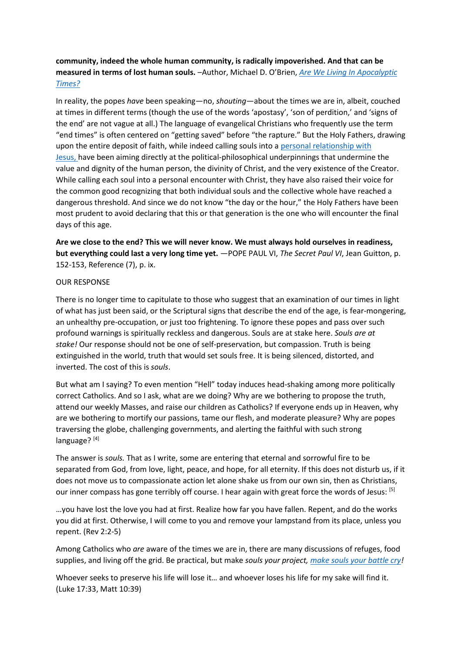# **community, indeed the whole human community, is radically impoverished. And that can be measured in terms of lost human souls.** –Author, Michael D. O'Brien, *[Are We Living In Apocalyptic](http://www.studiobrien.com/talks/)  [Times?](http://www.studiobrien.com/talks/)*

In reality, the popes *have* been speaking—no, *shouting*—about the times we are in, albeit, couched at times in different terms (though the use of the words 'apostasy', 'son of perdition,' and 'signs of the end' are not vague at all.) The language of evangelical Christians who frequently use the term "end times" is often centered on "getting saved" before "the rapture." But the Holy Fathers, drawing upon the entire deposit of faith, while indeed calling souls into a [personal relationship with](https://www.markmallett.com/blog/?p=301)  [Jesus,](https://www.markmallett.com/blog/?p=301) have been aiming directly at the political-philosophical underpinnings that undermine the value and dignity of the human person, the divinity of Christ, and the very existence of the Creator. While calling each soul into a personal encounter with Christ, they have also raised their voice for the common good recognizing that both individual souls and the collective whole have reached a dangerous threshold. And since we do not know "the day or the hour," the Holy Fathers have been most prudent to avoid declaring that this or that generation is the one who will encounter the final days of this age.

**Are we close to the end? This we will never know. We must always hold ourselves in readiness, but everything could last a very long time yet.** —POPE PAUL VI, *The Secret Paul VI*, Jean Guitton, p. 152-153, Reference (7), p. ix.

#### OUR RESPONSE

There is no longer time to capitulate to those who suggest that an examination of our times in light of what has just been said, or the Scriptural signs that describe the end of the age, is fear-mongering, an unhealthy pre-occupation, or just too frightening. To ignore these popes and pass over such profound warnings is spiritually reckless and dangerous. Souls are at stake here. *Souls are at stake!* Our response should not be one of self-preservation, but compassion. Truth is being extinguished in the world, truth that would set souls free. It is being silenced, distorted, and inverted. The cost of this is *souls*.

But what am I saying? To even mention "Hell" today induces head-shaking among more politically correct Catholics. And so I ask, what are we doing? Why are we bothering to propose the truth, attend our weekly Masses, and raise our children as Catholics? If everyone ends up in Heaven, why are we bothering to mortify our passions, tame our flesh, and moderate pleasure? Why are popes traversing the globe, challenging governments, and alerting the faithful with such strong language? [4]

The answer is *souls.* That as I write, some are entering that eternal and sorrowful fire to be separated from God, from love, light, peace, and hope, for all eternity. If this does not disturb us, if it does not move us to compassionate action let alone shake us from our own sin, then as Christians, our inner compass has gone terribly off course. I hear again with great force the words of Jesus: [5]

…you have lost the love you had at first. Realize how far you have fallen. Repent, and do the works you did at first. Otherwise, I will come to you and remove your lampstand from its place, unless you repent. (Rev 2:2-5)

Among Catholics who *are* aware of the times we are in, there are many discussions of refuges, food supplies, and living off the grid. Be practical, but make *souls your project, [make souls your battle cry!](https://www.markmallett.com/blog/?p=906)*

Whoever seeks to preserve his life will lose it… and whoever loses his life for my sake will find it. (Luke 17:33, Matt 10:39)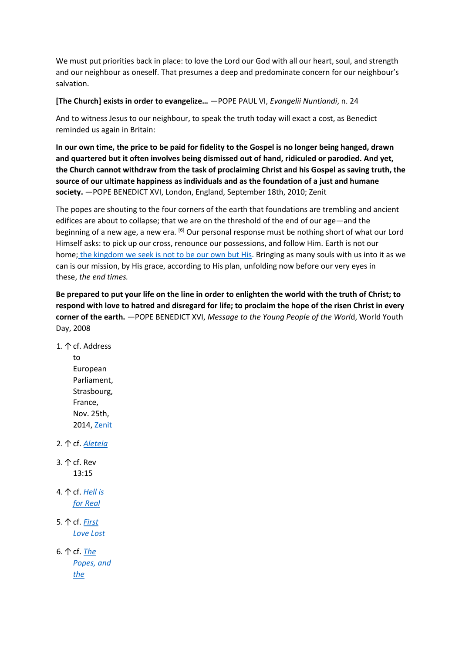We must put priorities back in place: to love the Lord our God with all our heart, soul, and strength and our neighbour as oneself. That presumes a deep and predominate concern for our neighbour's salvation.

**[The Church] exists in order to evangelize…** —POPE PAUL VI, *Evangelii Nuntiandi*, n. 24

And to witness Jesus to our neighbour, to speak the truth today will exact a cost, as Benedict reminded us again in Britain:

**In our own time, the price to be paid for fidelity to the Gospel is no longer being hanged, drawn and quartered but it often involves being dismissed out of hand, ridiculed or parodied. And yet, the Church cannot withdraw from the task of proclaiming Christ and his Gospel as saving truth, the source of our ultimate happiness as individuals and as the foundation of a just and humane society.** —POPE BENEDICT XVI, London, England, September 18th, 2010; Zenit

The popes are shouting to the four corners of the earth that foundations are trembling and ancient edifices are about to collapse; that we are on the threshold of the end of our age—and the beginning of a new age, a new era. <sup>[6]</sup> Our personal response must be nothing short of what our Lord Himself asks: to pick up our cross, renounce our possessions, and follow Him. Earth is not our home; [the kingdom we seek is not to be our own but His.](https://www.markmallett.com/blog/?p=3252) Bringing as many souls with us into it as we can is our mission, by His grace, according to His plan, unfolding now before our very eyes in these, *the end times.*

**Be prepared to put your life on the line in order to enlighten the world with the truth of Christ; to respond with love to hatred and disregard for life; to proclaim the hope of the risen Christ in every corner of the earth.** —POPE BENEDICT XVI, *Message to the Young People of the Worl*d, World Youth Day, 2008

1.↑cf. Address

to European Parliament, Strasbourg, France, Nov. 25th, 2014, [Zenit](http://www.zenit.org/en/articles/pope-to-eu-parliament-man-s-forgetfulness-of-god-leads-to-violence?utm_campaign=dailyhtml&utm_medium=email&utm_source=dispatch)

2.↑cf. *[Aleteia](http://aleteia.org/2017/01/30/did-you-know-that-pope-john-paul-ii-asked-us-to-return-of-the-prayer-to-saint-michael/)*

- 3. ↑ cf. Rev 13:15
- 4.↑cf. *[Hell is](https://www.markmallett.com/blog/hell-is-for-real/)  [for Real](https://www.markmallett.com/blog/hell-is-for-real/)*
- 5.↑cf. *[First](https://www.markmallett.com/blog/first-love-lost/)  [Love Lost](https://www.markmallett.com/blog/first-love-lost/)*

6. ↑ cf. **The** *[Popes, and](https://www.markmallett.com/blog/the-popes-and-a-dawning-new-age/)  [the](https://www.markmallett.com/blog/the-popes-and-a-dawning-new-age/)*